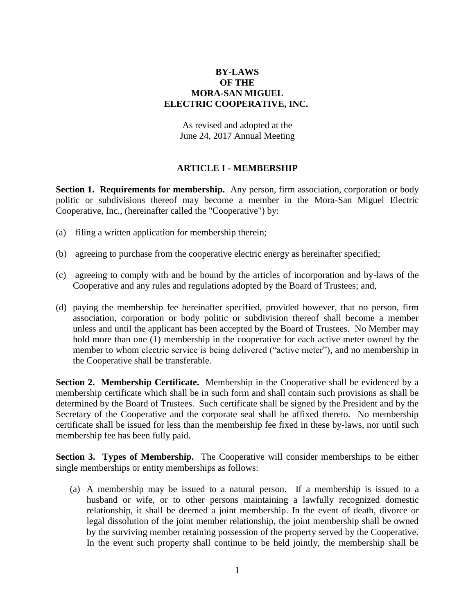## **BY-LAWS OF THE MORA-SAN MIGUEL ELECTRIC COOPERATIVE, INC.**

As revised and adopted at the June 24, 2017 Annual Meeting

### **ARTICLE I - MEMBERSHIP**

**Section 1. Requirements for membership.** Any person, firm association, corporation or body politic or subdivisions thereof may become a member in the Mora-San Miguel Electric Cooperative, Inc., (hereinafter called the "Cooperative") by:

- (a) filing a written application for membership therein;
- (b) agreeing to purchase from the cooperative electric energy as hereinafter specified;
- (c) agreeing to comply with and be bound by the articles of incorporation and by-laws of the Cooperative and any rules and regulations adopted by the Board of Trustees; and,
- (d) paying the membership fee hereinafter specified, provided however, that no person, firm association, corporation or body politic or subdivision thereof shall become a member unless and until the applicant has been accepted by the Board of Trustees. No Member may hold more than one (1) membership in the cooperative for each active meter owned by the member to whom electric service is being delivered ("active meter"), and no membership in the Cooperative shall be transferable.

**Section 2. Membership Certificate.** Membership in the Cooperative shall be evidenced by a membership certificate which shall be in such form and shall contain such provisions as shall be determined by the Board of Trustees. Such certificate shall be signed by the President and by the Secretary of the Cooperative and the corporate seal shall be affixed thereto. No membership certificate shall be issued for less than the membership fee fixed in these by-laws, nor until such membership fee has been fully paid.

**Section 3. Types of Membership.** The Cooperative will consider memberships to be either single memberships or entity memberships as follows:

(a) A membership may be issued to a natural person. If a membership is issued to a husband or wife, or to other persons maintaining a lawfully recognized domestic relationship, it shall be deemed a joint membership. In the event of death, divorce or legal dissolution of the joint member relationship, the joint membership shall be owned by the surviving member retaining possession of the property served by the Cooperative. In the event such property shall continue to be held jointly, the membership shall be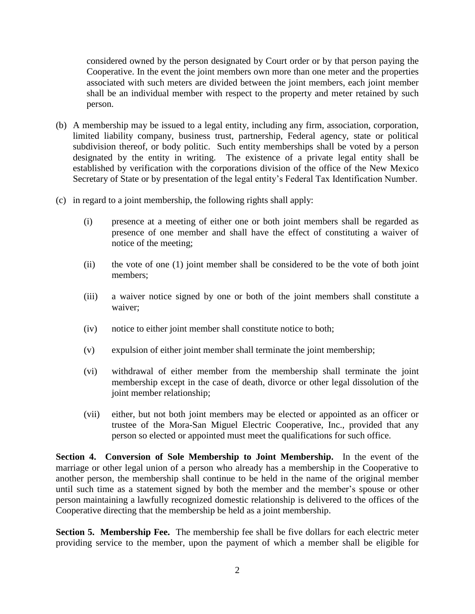considered owned by the person designated by Court order or by that person paying the Cooperative. In the event the joint members own more than one meter and the properties associated with such meters are divided between the joint members, each joint member shall be an individual member with respect to the property and meter retained by such person.

- (b) A membership may be issued to a legal entity, including any firm, association, corporation, limited liability company, business trust, partnership, Federal agency, state or political subdivision thereof, or body politic. Such entity memberships shall be voted by a person designated by the entity in writing. The existence of a private legal entity shall be established by verification with the corporations division of the office of the New Mexico Secretary of State or by presentation of the legal entity's Federal Tax Identification Number.
- (c) in regard to a joint membership, the following rights shall apply:
	- (i) presence at a meeting of either one or both joint members shall be regarded as presence of one member and shall have the effect of constituting a waiver of notice of the meeting;
	- (ii) the vote of one (1) joint member shall be considered to be the vote of both joint members;
	- (iii) a waiver notice signed by one or both of the joint members shall constitute a waiver;
	- (iv) notice to either joint member shall constitute notice to both;
	- (v) expulsion of either joint member shall terminate the joint membership;
	- (vi) withdrawal of either member from the membership shall terminate the joint membership except in the case of death, divorce or other legal dissolution of the joint member relationship;
	- (vii) either, but not both joint members may be elected or appointed as an officer or trustee of the Mora-San Miguel Electric Cooperative, Inc., provided that any person so elected or appointed must meet the qualifications for such office.

**Section 4. Conversion of Sole Membership to Joint Membership.** In the event of the marriage or other legal union of a person who already has a membership in the Cooperative to another person, the membership shall continue to be held in the name of the original member until such time as a statement signed by both the member and the member's spouse or other person maintaining a lawfully recognized domestic relationship is delivered to the offices of the Cooperative directing that the membership be held as a joint membership.

**Section 5. Membership Fee.** The membership fee shall be five dollars for each electric meter providing service to the member, upon the payment of which a member shall be eligible for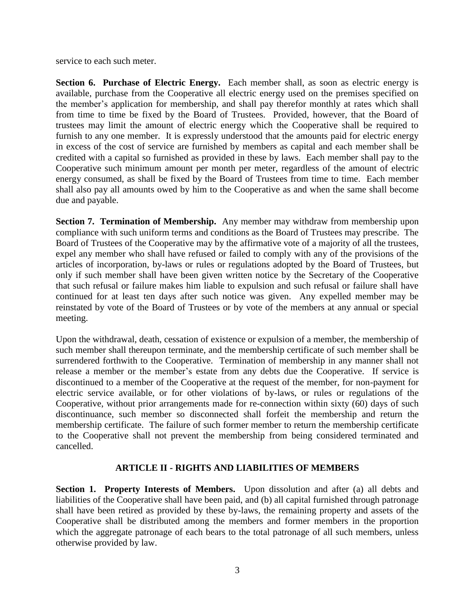service to each such meter.

**Section 6. Purchase of Electric Energy.** Each member shall, as soon as electric energy is available, purchase from the Cooperative all electric energy used on the premises specified on the member's application for membership, and shall pay therefor monthly at rates which shall from time to time be fixed by the Board of Trustees. Provided, however, that the Board of trustees may limit the amount of electric energy which the Cooperative shall be required to furnish to any one member. It is expressly understood that the amounts paid for electric energy in excess of the cost of service are furnished by members as capital and each member shall be credited with a capital so furnished as provided in these by laws. Each member shall pay to the Cooperative such minimum amount per month per meter, regardless of the amount of electric energy consumed, as shall be fixed by the Board of Trustees from time to time. Each member shall also pay all amounts owed by him to the Cooperative as and when the same shall become due and payable.

**Section 7. Termination of Membership.** Any member may withdraw from membership upon compliance with such uniform terms and conditions as the Board of Trustees may prescribe. The Board of Trustees of the Cooperative may by the affirmative vote of a majority of all the trustees, expel any member who shall have refused or failed to comply with any of the provisions of the articles of incorporation, by-laws or rules or regulations adopted by the Board of Trustees, but only if such member shall have been given written notice by the Secretary of the Cooperative that such refusal or failure makes him liable to expulsion and such refusal or failure shall have continued for at least ten days after such notice was given. Any expelled member may be reinstated by vote of the Board of Trustees or by vote of the members at any annual or special meeting.

Upon the withdrawal, death, cessation of existence or expulsion of a member, the membership of such member shall thereupon terminate, and the membership certificate of such member shall be surrendered forthwith to the Cooperative. Termination of membership in any manner shall not release a member or the member's estate from any debts due the Cooperative. If service is discontinued to a member of the Cooperative at the request of the member, for non-payment for electric service available, or for other violations of by-laws, or rules or regulations of the Cooperative, without prior arrangements made for re-connection within sixty (60) days of such discontinuance, such member so disconnected shall forfeit the membership and return the membership certificate. The failure of such former member to return the membership certificate to the Cooperative shall not prevent the membership from being considered terminated and cancelled.

# **ARTICLE II - RIGHTS AND LIABILITIES OF MEMBERS**

**Section 1. Property Interests of Members.** Upon dissolution and after (a) all debts and liabilities of the Cooperative shall have been paid, and (b) all capital furnished through patronage shall have been retired as provided by these by-laws, the remaining property and assets of the Cooperative shall be distributed among the members and former members in the proportion which the aggregate patronage of each bears to the total patronage of all such members, unless otherwise provided by law.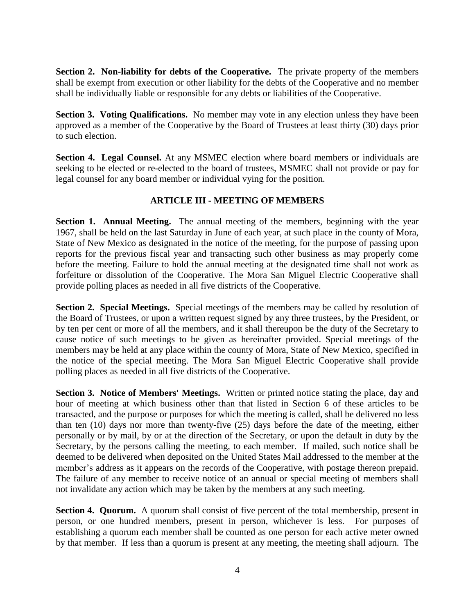**Section 2. Non-liability for debts of the Cooperative.** The private property of the members shall be exempt from execution or other liability for the debts of the Cooperative and no member shall be individually liable or responsible for any debts or liabilities of the Cooperative.

**Section 3. Voting Qualifications.** No member may vote in any election unless they have been approved as a member of the Cooperative by the Board of Trustees at least thirty (30) days prior to such election.

**Section 4. Legal Counsel.** At any MSMEC election where board members or individuals are seeking to be elected or re-elected to the board of trustees, MSMEC shall not provide or pay for legal counsel for any board member or individual vying for the position.

# **ARTICLE III - MEETING OF MEMBERS**

**Section 1. Annual Meeting.** The annual meeting of the members, beginning with the year 1967, shall be held on the last Saturday in June of each year, at such place in the county of Mora, State of New Mexico as designated in the notice of the meeting, for the purpose of passing upon reports for the previous fiscal year and transacting such other business as may properly come before the meeting. Failure to hold the annual meeting at the designated time shall not work as forfeiture or dissolution of the Cooperative. The Mora San Miguel Electric Cooperative shall provide polling places as needed in all five districts of the Cooperative.

**Section 2. Special Meetings.** Special meetings of the members may be called by resolution of the Board of Trustees, or upon a written request signed by any three trustees, by the President, or by ten per cent or more of all the members, and it shall thereupon be the duty of the Secretary to cause notice of such meetings to be given as hereinafter provided. Special meetings of the members may be held at any place within the county of Mora, State of New Mexico, specified in the notice of the special meeting. The Mora San Miguel Electric Cooperative shall provide polling places as needed in all five districts of the Cooperative.

**Section 3. Notice of Members' Meetings.** Written or printed notice stating the place, day and hour of meeting at which business other than that listed in Section 6 of these articles to be transacted, and the purpose or purposes for which the meeting is called, shall be delivered no less than ten (10) days nor more than twenty-five (25) days before the date of the meeting, either personally or by mail, by or at the direction of the Secretary, or upon the default in duty by the Secretary, by the persons calling the meeting, to each member. If mailed, such notice shall be deemed to be delivered when deposited on the United States Mail addressed to the member at the member's address as it appears on the records of the Cooperative, with postage thereon prepaid. The failure of any member to receive notice of an annual or special meeting of members shall not invalidate any action which may be taken by the members at any such meeting.

**Section 4. Quorum.** A quorum shall consist of five percent of the total membership, present in person, or one hundred members, present in person, whichever is less. For purposes of establishing a quorum each member shall be counted as one person for each active meter owned by that member. If less than a quorum is present at any meeting, the meeting shall adjourn. The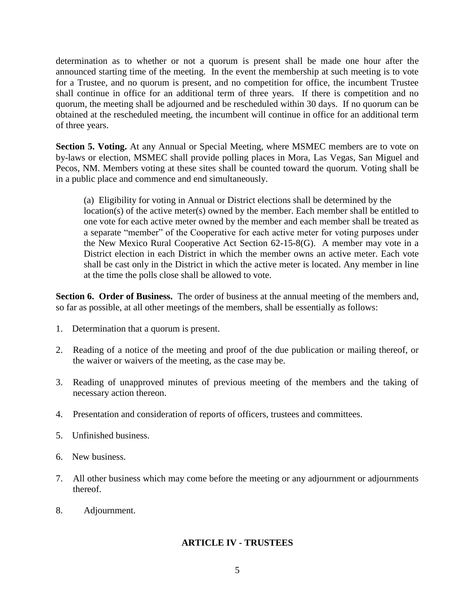determination as to whether or not a quorum is present shall be made one hour after the announced starting time of the meeting. In the event the membership at such meeting is to vote for a Trustee, and no quorum is present, and no competition for office, the incumbent Trustee shall continue in office for an additional term of three years. If there is competition and no quorum, the meeting shall be adjourned and be rescheduled within 30 days. If no quorum can be obtained at the rescheduled meeting, the incumbent will continue in office for an additional term of three years.

**Section 5. Voting.** At any Annual or Special Meeting, where MSMEC members are to vote on by-laws or election, MSMEC shall provide polling places in Mora, Las Vegas, San Miguel and Pecos, NM. Members voting at these sites shall be counted toward the quorum. Voting shall be in a public place and commence and end simultaneously.

(a) Eligibility for voting in Annual or District elections shall be determined by the location(s) of the active meter(s) owned by the member. Each member shall be entitled to one vote for each active meter owned by the member and each member shall be treated as a separate "member" of the Cooperative for each active meter for voting purposes under the New Mexico Rural Cooperative Act Section 62-15-8(G). A member may vote in a District election in each District in which the member owns an active meter. Each vote shall be cast only in the District in which the active meter is located. Any member in line at the time the polls close shall be allowed to vote.

**Section 6. Order of Business.** The order of business at the annual meeting of the members and, so far as possible, at all other meetings of the members, shall be essentially as follows:

- 1. Determination that a quorum is present.
- 2. Reading of a notice of the meeting and proof of the due publication or mailing thereof, or the waiver or waivers of the meeting, as the case may be.
- 3. Reading of unapproved minutes of previous meeting of the members and the taking of necessary action thereon.
- 4. Presentation and consideration of reports of officers, trustees and committees.
- 5. Unfinished business.
- 6. New business.
- 7. All other business which may come before the meeting or any adjournment or adjournments thereof.
- 8. Adjournment.

# **ARTICLE IV - TRUSTEES**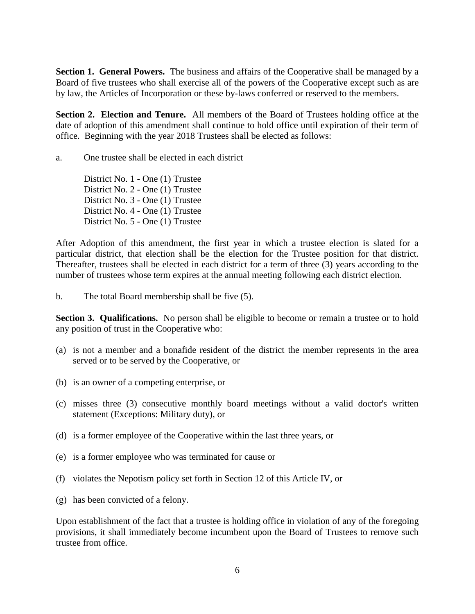**Section 1. General Powers.** The business and affairs of the Cooperative shall be managed by a Board of five trustees who shall exercise all of the powers of the Cooperative except such as are by law, the Articles of Incorporation or these by-laws conferred or reserved to the members.

**Section 2. Election and Tenure.** All members of the Board of Trustees holding office at the date of adoption of this amendment shall continue to hold office until expiration of their term of office. Beginning with the year 2018 Trustees shall be elected as follows:

a. One trustee shall be elected in each district

District No. 1 - One (1) Trustee District No. 2 - One (1) Trustee District No. 3 - One (1) Trustee District No. 4 - One (1) Trustee District No. 5 - One (1) Trustee

After Adoption of this amendment, the first year in which a trustee election is slated for a particular district, that election shall be the election for the Trustee position for that district. Thereafter, trustees shall be elected in each district for a term of three (3) years according to the number of trustees whose term expires at the annual meeting following each district election.

b. The total Board membership shall be five (5).

**Section 3. Qualifications.** No person shall be eligible to become or remain a trustee or to hold any position of trust in the Cooperative who:

- (a) is not a member and a bonafide resident of the district the member represents in the area served or to be served by the Cooperative, or
- (b) is an owner of a competing enterprise, or
- (c) misses three (3) consecutive monthly board meetings without a valid doctor's written statement (Exceptions: Military duty), or
- (d) is a former employee of the Cooperative within the last three years, or
- (e) is a former employee who was terminated for cause or
- (f) violates the Nepotism policy set forth in Section 12 of this Article IV, or
- (g) has been convicted of a felony.

Upon establishment of the fact that a trustee is holding office in violation of any of the foregoing provisions, it shall immediately become incumbent upon the Board of Trustees to remove such trustee from office.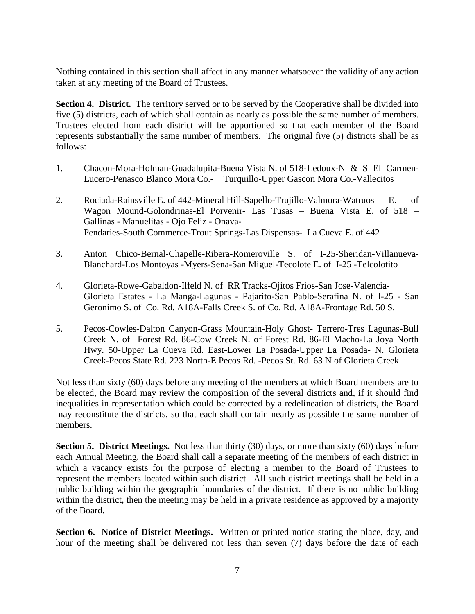Nothing contained in this section shall affect in any manner whatsoever the validity of any action taken at any meeting of the Board of Trustees.

**Section 4. District.** The territory served or to be served by the Cooperative shall be divided into five (5) districts, each of which shall contain as nearly as possible the same number of members. Trustees elected from each district will be apportioned so that each member of the Board represents substantially the same number of members. The original five (5) districts shall be as follows:

- 1. Chacon-Mora-Holman-Guadalupita-Buena Vista N. of 518-Ledoux-N & S El Carmen-Lucero-Penasco Blanco Mora Co.- Turquillo-Upper Gascon Mora Co.-Vallecitos
- 2. Rociada-Rainsville E. of 442-Mineral Hill-Sapello-Trujillo-Valmora-Watruos E. of Wagon Mound-Golondrinas-El Porvenir- Las Tusas – Buena Vista E. of 518 – Gallinas - Manuelitas - Ojo Feliz - Onava-Pendaries-South Commerce-Trout Springs-Las Dispensas- La Cueva E. of 442
- 3. Anton Chico-Bernal-Chapelle-Ribera-Romeroville S. of I-25-Sheridan-Villanueva-Blanchard-Los Montoyas -Myers-Sena-San Miguel-Tecolote E. of I-25 -Telcolotito
- 4. Glorieta-Rowe-Gabaldon-Ilfeld N. of RR Tracks-Ojitos Frios-San Jose-Valencia-Glorieta Estates - La Manga-Lagunas - Pajarito-San Pablo-Serafina N. of I-25 - San Geronimo S. of Co. Rd. A18A-Falls Creek S. of Co. Rd. A18A-Frontage Rd. 50 S.
- 5. Pecos-Cowles-Dalton Canyon-Grass Mountain-Holy Ghost- Terrero-Tres Lagunas-Bull Creek N. of Forest Rd. 86-Cow Creek N. of Forest Rd. 86-El Macho-La Joya North Hwy. 50-Upper La Cueva Rd. East-Lower La Posada-Upper La Posada- N. Glorieta Creek-Pecos State Rd. 223 North-E Pecos Rd. -Pecos St. Rd. 63 N of Glorieta Creek

Not less than sixty (60) days before any meeting of the members at which Board members are to be elected, the Board may review the composition of the several districts and, if it should find inequalities in representation which could be corrected by a redelineation of districts, the Board may reconstitute the districts, so that each shall contain nearly as possible the same number of members.

**Section 5. District Meetings.** Not less than thirty (30) days, or more than sixty (60) days before each Annual Meeting, the Board shall call a separate meeting of the members of each district in which a vacancy exists for the purpose of electing a member to the Board of Trustees to represent the members located within such district. All such district meetings shall be held in a public building within the geographic boundaries of the district. If there is no public building within the district, then the meeting may be held in a private residence as approved by a majority of the Board.

**Section 6. Notice of District Meetings.** Written or printed notice stating the place, day, and hour of the meeting shall be delivered not less than seven (7) days before the date of each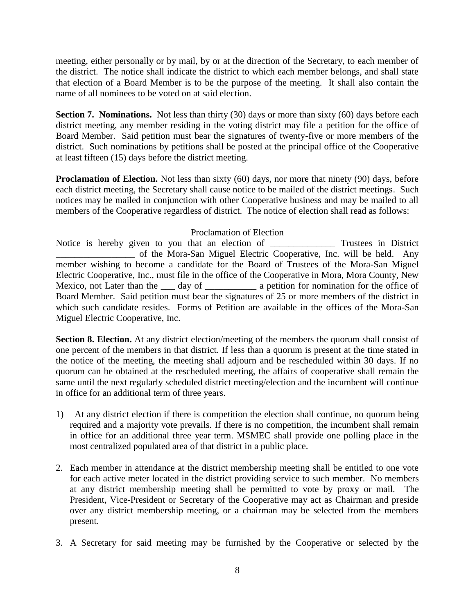meeting, either personally or by mail, by or at the direction of the Secretary, to each member of the district. The notice shall indicate the district to which each member belongs, and shall state that election of a Board Member is to be the purpose of the meeting. It shall also contain the name of all nominees to be voted on at said election.

**Section 7. Nominations.** Not less than thirty (30) days or more than sixty (60) days before each district meeting, any member residing in the voting district may file a petition for the office of Board Member. Said petition must bear the signatures of twenty-five or more members of the district. Such nominations by petitions shall be posted at the principal office of the Cooperative at least fifteen (15) days before the district meeting.

**Proclamation of Election.** Not less than sixty (60) days, nor more that ninety (90) days, before each district meeting, the Secretary shall cause notice to be mailed of the district meetings. Such notices may be mailed in conjunction with other Cooperative business and may be mailed to all members of the Cooperative regardless of district. The notice of election shall read as follows:

## Proclamation of Election

Notice is hereby given to you that an election of Trustees in District \_\_\_\_\_\_\_\_\_\_\_\_\_\_\_\_\_ of the Mora-San Miguel Electric Cooperative, Inc. will be held. Any member wishing to become a candidate for the Board of Trustees of the Mora-San Miguel Electric Cooperative, Inc., must file in the office of the Cooperative in Mora, Mora County, New Mexico, not Later than the \_\_\_\_ day of \_\_\_\_\_\_\_\_\_\_\_\_\_ a petition for nomination for the office of Board Member. Said petition must bear the signatures of 25 or more members of the district in which such candidate resides. Forms of Petition are available in the offices of the Mora-San Miguel Electric Cooperative, Inc.

**Section 8. Election.** At any district election/meeting of the members the quorum shall consist of one percent of the members in that district. If less than a quorum is present at the time stated in the notice of the meeting, the meeting shall adjourn and be rescheduled within 30 days. If no quorum can be obtained at the rescheduled meeting, the affairs of cooperative shall remain the same until the next regularly scheduled district meeting/election and the incumbent will continue in office for an additional term of three years.

- 1) At any district election if there is competition the election shall continue, no quorum being required and a majority vote prevails. If there is no competition, the incumbent shall remain in office for an additional three year term. MSMEC shall provide one polling place in the most centralized populated area of that district in a public place.
- 2. Each member in attendance at the district membership meeting shall be entitled to one vote for each active meter located in the district providing service to such member. No members at any district membership meeting shall be permitted to vote by proxy or mail. The President, Vice-President or Secretary of the Cooperative may act as Chairman and preside over any district membership meeting, or a chairman may be selected from the members present.
- 3. A Secretary for said meeting may be furnished by the Cooperative or selected by the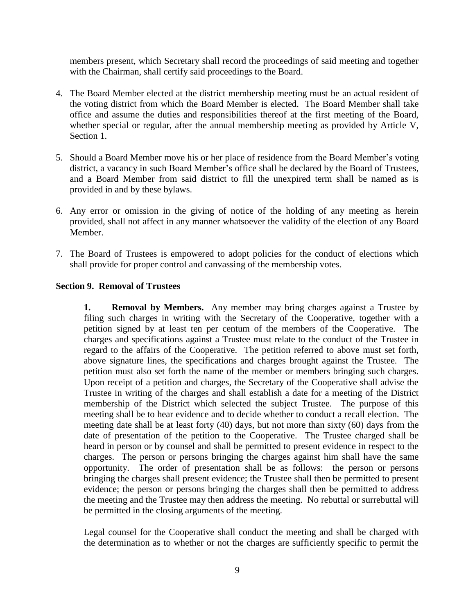members present, which Secretary shall record the proceedings of said meeting and together with the Chairman, shall certify said proceedings to the Board.

- 4. The Board Member elected at the district membership meeting must be an actual resident of the voting district from which the Board Member is elected. The Board Member shall take office and assume the duties and responsibilities thereof at the first meeting of the Board, whether special or regular, after the annual membership meeting as provided by Article V, Section 1.
- 5. Should a Board Member move his or her place of residence from the Board Member's voting district, a vacancy in such Board Member's office shall be declared by the Board of Trustees, and a Board Member from said district to fill the unexpired term shall be named as is provided in and by these bylaws.
- 6. Any error or omission in the giving of notice of the holding of any meeting as herein provided, shall not affect in any manner whatsoever the validity of the election of any Board Member.
- 7. The Board of Trustees is empowered to adopt policies for the conduct of elections which shall provide for proper control and canvassing of the membership votes.

## **Section 9. Removal of Trustees**

**1. Removal by Members.** Any member may bring charges against a Trustee by filing such charges in writing with the Secretary of the Cooperative, together with a petition signed by at least ten per centum of the members of the Cooperative. The charges and specifications against a Trustee must relate to the conduct of the Trustee in regard to the affairs of the Cooperative. The petition referred to above must set forth, above signature lines, the specifications and charges brought against the Trustee. The petition must also set forth the name of the member or members bringing such charges. Upon receipt of a petition and charges, the Secretary of the Cooperative shall advise the Trustee in writing of the charges and shall establish a date for a meeting of the District membership of the District which selected the subject Trustee. The purpose of this meeting shall be to hear evidence and to decide whether to conduct a recall election. The meeting date shall be at least forty (40) days, but not more than sixty (60) days from the date of presentation of the petition to the Cooperative. The Trustee charged shall be heard in person or by counsel and shall be permitted to present evidence in respect to the charges. The person or persons bringing the charges against him shall have the same opportunity. The order of presentation shall be as follows: the person or persons bringing the charges shall present evidence; the Trustee shall then be permitted to present evidence; the person or persons bringing the charges shall then be permitted to address the meeting and the Trustee may then address the meeting. No rebuttal or surrebuttal will be permitted in the closing arguments of the meeting.

Legal counsel for the Cooperative shall conduct the meeting and shall be charged with the determination as to whether or not the charges are sufficiently specific to permit the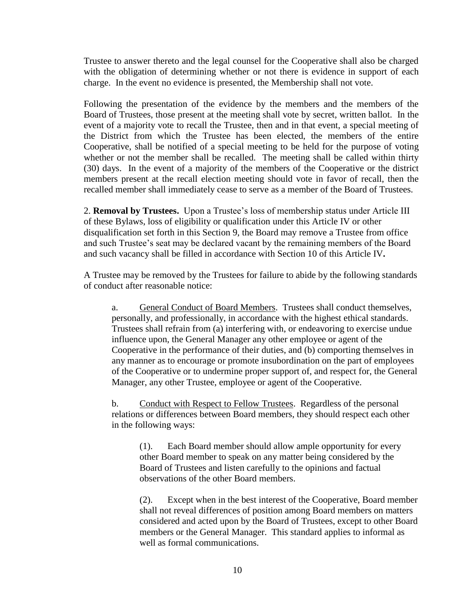Trustee to answer thereto and the legal counsel for the Cooperative shall also be charged with the obligation of determining whether or not there is evidence in support of each charge. In the event no evidence is presented, the Membership shall not vote.

Following the presentation of the evidence by the members and the members of the Board of Trustees, those present at the meeting shall vote by secret, written ballot. In the event of a majority vote to recall the Trustee, then and in that event, a special meeting of the District from which the Trustee has been elected, the members of the entire Cooperative, shall be notified of a special meeting to be held for the purpose of voting whether or not the member shall be recalled. The meeting shall be called within thirty (30) days. In the event of a majority of the members of the Cooperative or the district members present at the recall election meeting should vote in favor of recall, then the recalled member shall immediately cease to serve as a member of the Board of Trustees.

2. **Removal by Trustees.** Upon a Trustee's loss of membership status under Article III of these Bylaws, loss of eligibility or qualification under this Article IV or other disqualification set forth in this Section 9, the Board may remove a Trustee from office and such Trustee's seat may be declared vacant by the remaining members of the Board and such vacancy shall be filled in accordance with Section 10 of this Article IV**.**

A Trustee may be removed by the Trustees for failure to abide by the following standards of conduct after reasonable notice:

a. General Conduct of Board Members. Trustees shall conduct themselves, personally, and professionally, in accordance with the highest ethical standards. Trustees shall refrain from (a) interfering with, or endeavoring to exercise undue influence upon, the General Manager any other employee or agent of the Cooperative in the performance of their duties, and (b) comporting themselves in any manner as to encourage or promote insubordination on the part of employees of the Cooperative or to undermine proper support of, and respect for, the General Manager, any other Trustee, employee or agent of the Cooperative.

b. Conduct with Respect to Fellow Trustees. Regardless of the personal relations or differences between Board members, they should respect each other in the following ways:

(1). Each Board member should allow ample opportunity for every other Board member to speak on any matter being considered by the Board of Trustees and listen carefully to the opinions and factual observations of the other Board members.

(2). Except when in the best interest of the Cooperative, Board member shall not reveal differences of position among Board members on matters considered and acted upon by the Board of Trustees, except to other Board members or the General Manager. This standard applies to informal as well as formal communications.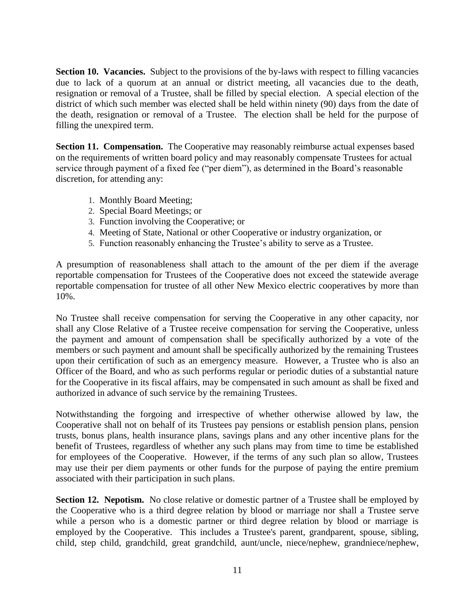**Section 10. Vacancies.** Subject to the provisions of the by-laws with respect to filling vacancies due to lack of a quorum at an annual or district meeting, all vacancies due to the death, resignation or removal of a Trustee, shall be filled by special election. A special election of the district of which such member was elected shall be held within ninety (90) days from the date of the death, resignation or removal of a Trustee. The election shall be held for the purpose of filling the unexpired term.

**Section 11. Compensation.** The Cooperative may reasonably reimburse actual expenses based on the requirements of written board policy and may reasonably compensate Trustees for actual service through payment of a fixed fee ("per diem"), as determined in the Board's reasonable discretion, for attending any:

- 1. Monthly Board Meeting;
- 2. Special Board Meetings; or
- 3. Function involving the Cooperative; or
- 4. Meeting of State, National or other Cooperative or industry organization, or
- 5. Function reasonably enhancing the Trustee's ability to serve as a Trustee.

A presumption of reasonableness shall attach to the amount of the per diem if the average reportable compensation for Trustees of the Cooperative does not exceed the statewide average reportable compensation for trustee of all other New Mexico electric cooperatives by more than 10%.

No Trustee shall receive compensation for serving the Cooperative in any other capacity, nor shall any Close Relative of a Trustee receive compensation for serving the Cooperative, unless the payment and amount of compensation shall be specifically authorized by a vote of the members or such payment and amount shall be specifically authorized by the remaining Trustees upon their certification of such as an emergency measure. However, a Trustee who is also an Officer of the Board, and who as such performs regular or periodic duties of a substantial nature for the Cooperative in its fiscal affairs, may be compensated in such amount as shall be fixed and authorized in advance of such service by the remaining Trustees.

Notwithstanding the forgoing and irrespective of whether otherwise allowed by law, the Cooperative shall not on behalf of its Trustees pay pensions or establish pension plans, pension trusts, bonus plans, health insurance plans, savings plans and any other incentive plans for the benefit of Trustees, regardless of whether any such plans may from time to time be established for employees of the Cooperative. However, if the terms of any such plan so allow, Trustees may use their per diem payments or other funds for the purpose of paying the entire premium associated with their participation in such plans.

**Section 12. Nepotism.** No close relative or domestic partner of a Trustee shall be employed by the Cooperative who is a third degree relation by blood or marriage nor shall a Trustee serve while a person who is a domestic partner or third degree relation by blood or marriage is employed by the Cooperative. This includes a Trustee's parent, grandparent, spouse, sibling, child, step child, grandchild, great grandchild, aunt/uncle, niece/nephew, grandniece/nephew,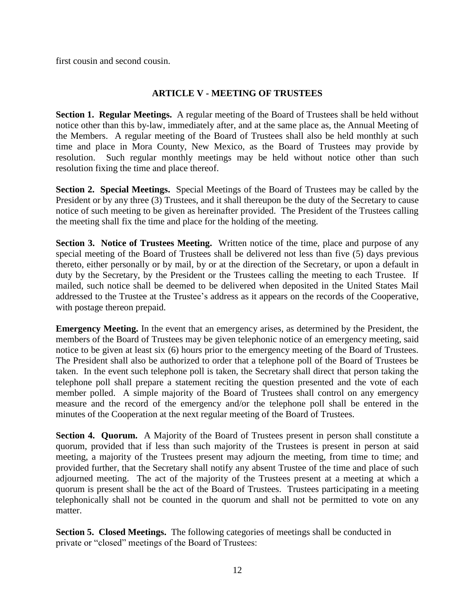first cousin and second cousin.

# **ARTICLE V - MEETING OF TRUSTEES**

**Section 1. Regular Meetings.** A regular meeting of the Board of Trustees shall be held without notice other than this by-law, immediately after, and at the same place as, the Annual Meeting of the Members. A regular meeting of the Board of Trustees shall also be held monthly at such time and place in Mora County, New Mexico, as the Board of Trustees may provide by resolution. Such regular monthly meetings may be held without notice other than such resolution fixing the time and place thereof.

**Section 2. Special Meetings.** Special Meetings of the Board of Trustees may be called by the President or by any three (3) Trustees, and it shall thereupon be the duty of the Secretary to cause notice of such meeting to be given as hereinafter provided. The President of the Trustees calling the meeting shall fix the time and place for the holding of the meeting.

**Section 3. Notice of Trustees Meeting.** Written notice of the time, place and purpose of any special meeting of the Board of Trustees shall be delivered not less than five (5) days previous thereto, either personally or by mail, by or at the direction of the Secretary, or upon a default in duty by the Secretary, by the President or the Trustees calling the meeting to each Trustee. If mailed, such notice shall be deemed to be delivered when deposited in the United States Mail addressed to the Trustee at the Trustee's address as it appears on the records of the Cooperative, with postage thereon prepaid.

**Emergency Meeting.** In the event that an emergency arises, as determined by the President, the members of the Board of Trustees may be given telephonic notice of an emergency meeting, said notice to be given at least six (6) hours prior to the emergency meeting of the Board of Trustees. The President shall also be authorized to order that a telephone poll of the Board of Trustees be taken. In the event such telephone poll is taken, the Secretary shall direct that person taking the telephone poll shall prepare a statement reciting the question presented and the vote of each member polled. A simple majority of the Board of Trustees shall control on any emergency measure and the record of the emergency and/or the telephone poll shall be entered in the minutes of the Cooperation at the next regular meeting of the Board of Trustees.

**Section 4. Quorum.** A Majority of the Board of Trustees present in person shall constitute a quorum, provided that if less than such majority of the Trustees is present in person at said meeting, a majority of the Trustees present may adjourn the meeting, from time to time; and provided further, that the Secretary shall notify any absent Trustee of the time and place of such adjourned meeting. The act of the majority of the Trustees present at a meeting at which a quorum is present shall be the act of the Board of Trustees. Trustees participating in a meeting telephonically shall not be counted in the quorum and shall not be permitted to vote on any matter.

**Section 5. Closed Meetings.** The following categories of meetings shall be conducted in private or "closed" meetings of the Board of Trustees: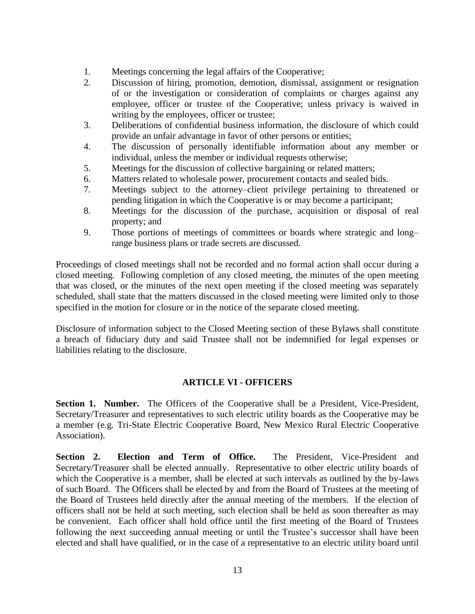- 1. Meetings concerning the legal affairs of the Cooperative;
- 2. Discussion of hiring, promotion, demotion, dismissal, assignment or resignation of or the investigation or consideration of complaints or charges against any employee, officer or trustee of the Cooperative; unless privacy is waived in writing by the employees, officer or trustee;
- 3. Deliberations of confidential business information, the disclosure of which could provide an unfair advantage in favor of other persons or entities;
- 4. The discussion of personally identifiable information about any member or individual, unless the member or individual requests otherwise;
- 5. Meetings for the discussion of collective bargaining or related matters;
- 6. Matters related to wholesale power, procurement contacts and sealed bids.
- 7. Meetings subject to the attorney–client privilege pertaining to threatened or pending litigation in which the Cooperative is or may become a participant;
- 8. Meetings for the discussion of the purchase, acquisition or disposal of real property; and
- 9. Those portions of meetings of committees or boards where strategic and long– range business plans or trade secrets are discussed.

Proceedings of closed meetings shall not be recorded and no formal action shall occur during a closed meeting. Following completion of any closed meeting, the minutes of the open meeting that was closed, or the minutes of the next open meeting if the closed meeting was separately scheduled, shall state that the matters discussed in the closed meeting were limited only to those specified in the motion for closure or in the notice of the separate closed meeting.

Disclosure of information subject to the Closed Meeting section of these Bylaws shall constitute a breach of fiduciary duty and said Trustee shall not be indemnified for legal expenses or liabilities relating to the disclosure.

### **ARTICLE VI - OFFICERS**

Section 1. Number. The Officers of the Cooperative shall be a President, Vice-President, Secretary/Treasurer and representatives to such electric utility boards as the Cooperative may be a member (e.g. Tri-State Electric Cooperative Board, New Mexico Rural Electric Cooperative Association).

**Section 2. Election and Term of Office.** The President, Vice-President and Secretary/Treasurer shall be elected annually. Representative to other electric utility boards of which the Cooperative is a member, shall be elected at such intervals as outlined by the by-laws of such Board. The Officers shall be elected by and from the Board of Trustees at the meeting of the Board of Trustees held directly after the annual meeting of the members. If the election of officers shall not be held at such meeting, such election shall be held as soon thereafter as may be convenient. Each officer shall hold office until the first meeting of the Board of Trustees following the next succeeding annual meeting or until the Trustee's successor shall have been elected and shall have qualified, or in the case of a representative to an electric utility board until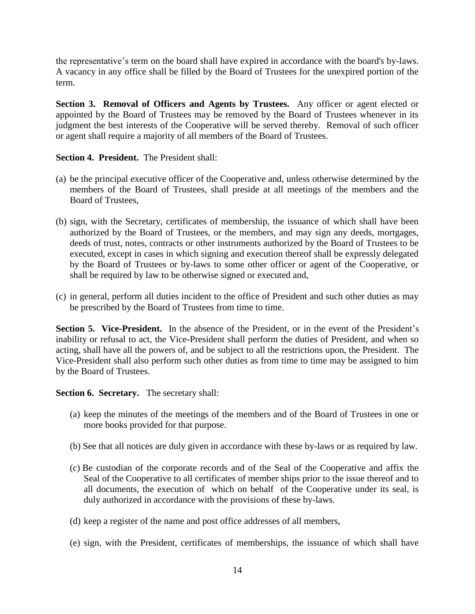the representative's term on the board shall have expired in accordance with the board's by-laws. A vacancy in any office shall be filled by the Board of Trustees for the unexpired portion of the term.

**Section 3. Removal of Officers and Agents by Trustees.** Any officer or agent elected or appointed by the Board of Trustees may be removed by the Board of Trustees whenever in its judgment the best interests of the Cooperative will be served thereby. Removal of such officer or agent shall require a majority of all members of the Board of Trustees.

### **Section 4. President.** The President shall:

- (a) be the principal executive officer of the Cooperative and, unless otherwise determined by the members of the Board of Trustees, shall preside at all meetings of the members and the Board of Trustees,
- (b) sign, with the Secretary, certificates of membership, the issuance of which shall have been authorized by the Board of Trustees, or the members, and may sign any deeds, mortgages, deeds of trust, notes, contracts or other instruments authorized by the Board of Trustees to be executed, except in cases in which signing and execution thereof shall be expressly delegated by the Board of Trustees or by-laws to some other officer or agent of the Cooperative, or shall be required by law to be otherwise signed or executed and,
- (c) in general, perform all duties incident to the office of President and such other duties as may be prescribed by the Board of Trustees from time to time.

Section 5. Vice-President. In the absence of the President, or in the event of the President's inability or refusal to act, the Vice-President shall perform the duties of President, and when so acting, shall have all the powers of, and be subject to all the restrictions upon, the President. The Vice-President shall also perform such other duties as from time to time may be assigned to him by the Board of Trustees.

**Section 6. Secretary.** The secretary shall:

- (a) keep the minutes of the meetings of the members and of the Board of Trustees in one or more books provided for that purpose.
- (b) See that all notices are duly given in accordance with these by-laws or as required by law.
- (c) Be custodian of the corporate records and of the Seal of the Cooperative and affix the Seal of the Cooperative to all certificates of member ships prior to the issue thereof and to all documents, the execution of which on behalf of the Cooperative under its seal, is duly authorized in accordance with the provisions of these by-laws.
- (d) keep a register of the name and post office addresses of all members,
- (e) sign, with the President, certificates of memberships, the issuance of which shall have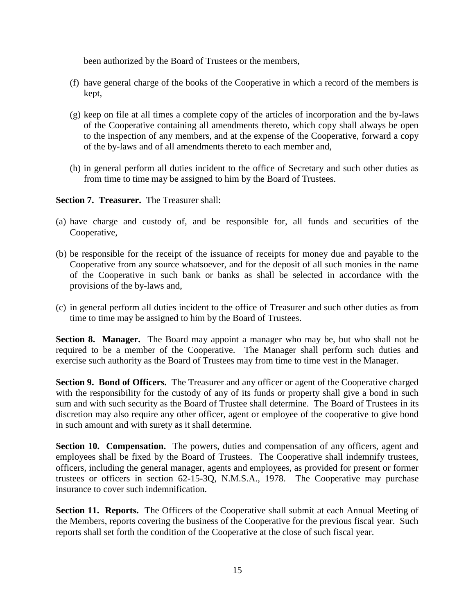been authorized by the Board of Trustees or the members,

- (f) have general charge of the books of the Cooperative in which a record of the members is kept,
- (g) keep on file at all times a complete copy of the articles of incorporation and the by-laws of the Cooperative containing all amendments thereto, which copy shall always be open to the inspection of any members, and at the expense of the Cooperative, forward a copy of the by-laws and of all amendments thereto to each member and,
- (h) in general perform all duties incident to the office of Secretary and such other duties as from time to time may be assigned to him by the Board of Trustees.

**Section 7. Treasurer.** The Treasurer shall:

- (a) have charge and custody of, and be responsible for, all funds and securities of the Cooperative,
- (b) be responsible for the receipt of the issuance of receipts for money due and payable to the Cooperative from any source whatsoever, and for the deposit of all such monies in the name of the Cooperative in such bank or banks as shall be selected in accordance with the provisions of the by-laws and,
- (c) in general perform all duties incident to the office of Treasurer and such other duties as from time to time may be assigned to him by the Board of Trustees.

**Section 8. Manager.** The Board may appoint a manager who may be, but who shall not be required to be a member of the Cooperative. The Manager shall perform such duties and exercise such authority as the Board of Trustees may from time to time vest in the Manager.

**Section 9. Bond of Officers.** The Treasurer and any officer or agent of the Cooperative charged with the responsibility for the custody of any of its funds or property shall give a bond in such sum and with such security as the Board of Trustee shall determine. The Board of Trustees in its discretion may also require any other officer, agent or employee of the cooperative to give bond in such amount and with surety as it shall determine.

**Section 10. Compensation.** The powers, duties and compensation of any officers, agent and employees shall be fixed by the Board of Trustees. The Cooperative shall indemnify trustees, officers, including the general manager, agents and employees, as provided for present or former trustees or officers in section 62-15-3Q, N.M.S.A., 1978. The Cooperative may purchase insurance to cover such indemnification.

**Section 11. Reports.** The Officers of the Cooperative shall submit at each Annual Meeting of the Members, reports covering the business of the Cooperative for the previous fiscal year. Such reports shall set forth the condition of the Cooperative at the close of such fiscal year.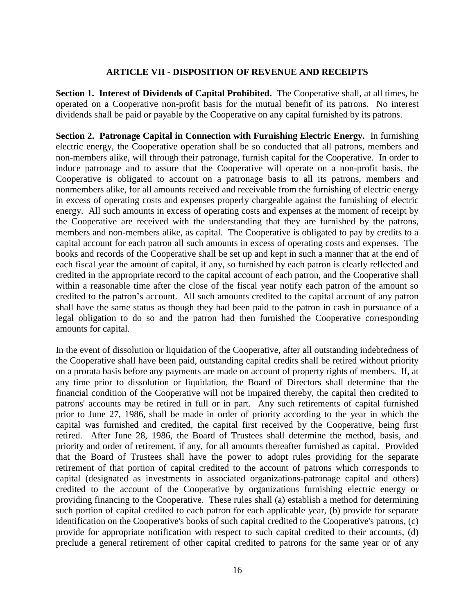#### **ARTICLE VII - DISPOSITION OF REVENUE AND RECEIPTS**

**Section 1. Interest of Dividends of Capital Prohibited.** The Cooperative shall, at all times, be operated on a Cooperative non-profit basis for the mutual benefit of its patrons. No interest dividends shall be paid or payable by the Cooperative on any capital furnished by its patrons.

**Section 2. Patronage Capital in Connection with Furnishing Electric Energy.** In furnishing electric energy, the Cooperative operation shall be so conducted that all patrons, members and non-members alike, will through their patronage, furnish capital for the Cooperative. In order to induce patronage and to assure that the Cooperative will operate on a non-profit basis, the Cooperative is obligated to account on a patronage basis to all its patrons, members and nonmembers alike, for all amounts received and receivable from the furnishing of electric energy in excess of operating costs and expenses properly chargeable against the furnishing of electric energy. All such amounts in excess of operating costs and expenses at the moment of receipt by the Cooperative are received with the understanding that they are furnished by the patrons, members and non-members alike, as capital. The Cooperative is obligated to pay by credits to a capital account for each patron all such amounts in excess of operating costs and expenses. The books and records of the Cooperative shall be set up and kept in such a manner that at the end of each fiscal year the amount of capital, if any, so furnished by each patron is clearly reflected and credited in the appropriate record to the capital account of each patron, and the Cooperative shall within a reasonable time after the close of the fiscal year notify each patron of the amount so credited to the patron's account. All such amounts credited to the capital account of any patron shall have the same status as though they had been paid to the patron in cash in pursuance of a legal obligation to do so and the patron had then furnished the Cooperative corresponding amounts for capital.

In the event of dissolution or liquidation of the Cooperative, after all outstanding indebtedness of the Cooperative shall have been paid, outstanding capital credits shall be retired without priority on a prorata basis before any payments are made on account of property rights of members. If, at any time prior to dissolution or liquidation, the Board of Directors shall determine that the financial condition of the Cooperative will not be impaired thereby, the capital then credited to patrons' accounts may be retired in full or in part. Any such retirements of capital furnished prior to June 27, 1986, shall be made in order of priority according to the year in which the capital was furnished and credited, the capital first received by the Cooperative, being first retired. After June 28, 1986, the Board of Trustees shall determine the method, basis, and priority and order of retirement, if any, for all amounts thereafter furnished as capital. Provided that the Board of Trustees shall have the power to adopt rules providing for the separate retirement of that portion of capital credited to the account of patrons which corresponds to capital (designated as investments in associated organizations-patronage capital and others) credited to the account of the Cooperative by organizations furnishing electric energy or providing financing to the Cooperative. These rules shall (a) establish a method for determining such portion of capital credited to each patron for each applicable year, (b) provide for separate identification on the Cooperative's books of such capital credited to the Cooperative's patrons, (c) provide for appropriate notification with respect to such capital credited to their accounts, (d) preclude a general retirement of other capital credited to patrons for the same year or of any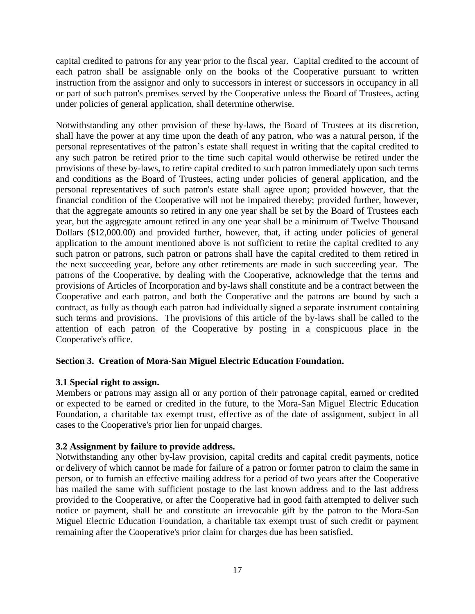capital credited to patrons for any year prior to the fiscal year. Capital credited to the account of each patron shall be assignable only on the books of the Cooperative pursuant to written instruction from the assignor and only to successors in interest or successors in occupancy in all or part of such patron's premises served by the Cooperative unless the Board of Trustees, acting under policies of general application, shall determine otherwise.

Notwithstanding any other provision of these by-laws, the Board of Trustees at its discretion, shall have the power at any time upon the death of any patron, who was a natural person, if the personal representatives of the patron's estate shall request in writing that the capital credited to any such patron be retired prior to the time such capital would otherwise be retired under the provisions of these by-laws, to retire capital credited to such patron immediately upon such terms and conditions as the Board of Trustees, acting under policies of general application, and the personal representatives of such patron's estate shall agree upon; provided however, that the financial condition of the Cooperative will not be impaired thereby; provided further, however, that the aggregate amounts so retired in any one year shall be set by the Board of Trustees each year, but the aggregate amount retired in any one year shall be a minimum of Twelve Thousand Dollars (\$12,000.00) and provided further, however, that, if acting under policies of general application to the amount mentioned above is not sufficient to retire the capital credited to any such patron or patrons, such patron or patrons shall have the capital credited to them retired in the next succeeding year, before any other retirements are made in such succeeding year. The patrons of the Cooperative, by dealing with the Cooperative, acknowledge that the terms and provisions of Articles of Incorporation and by-laws shall constitute and be a contract between the Cooperative and each patron, and both the Cooperative and the patrons are bound by such a contract, as fully as though each patron had individually signed a separate instrument containing such terms and provisions. The provisions of this article of the by-laws shall be called to the attention of each patron of the Cooperative by posting in a conspicuous place in the Cooperative's office.

# **Section 3. Creation of Mora-San Miguel Electric Education Foundation.**

### **3.1 Special right to assign.**

Members or patrons may assign all or any portion of their patronage capital, earned or credited or expected to be earned or credited in the future, to the Mora-San Miguel Electric Education Foundation, a charitable tax exempt trust, effective as of the date of assignment, subject in all cases to the Cooperative's prior lien for unpaid charges.

### **3.2 Assignment by failure to provide address.**

Notwithstanding any other by-law provision, capital credits and capital credit payments, notice or delivery of which cannot be made for failure of a patron or former patron to claim the same in person, or to furnish an effective mailing address for a period of two years after the Cooperative has mailed the same with sufficient postage to the last known address and to the last address provided to the Cooperative, or after the Cooperative had in good faith attempted to deliver such notice or payment, shall be and constitute an irrevocable gift by the patron to the Mora-San Miguel Electric Education Foundation, a charitable tax exempt trust of such credit or payment remaining after the Cooperative's prior claim for charges due has been satisfied.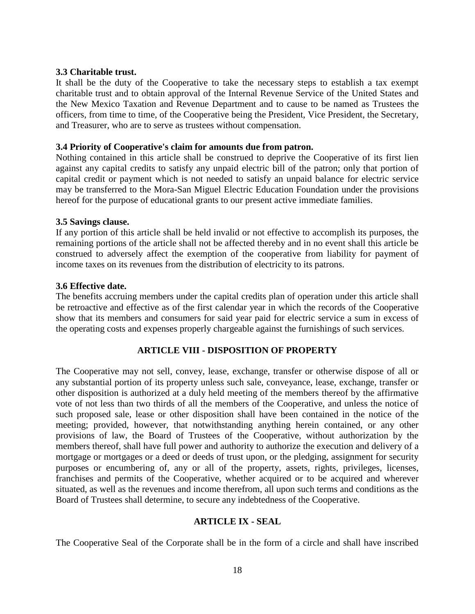#### **3.3 Charitable trust.**

It shall be the duty of the Cooperative to take the necessary steps to establish a tax exempt charitable trust and to obtain approval of the Internal Revenue Service of the United States and the New Mexico Taxation and Revenue Department and to cause to be named as Trustees the officers, from time to time, of the Cooperative being the President, Vice President, the Secretary, and Treasurer, who are to serve as trustees without compensation.

#### **3.4 Priority of Cooperative's claim for amounts due from patron.**

Nothing contained in this article shall be construed to deprive the Cooperative of its first lien against any capital credits to satisfy any unpaid electric bill of the patron; only that portion of capital credit or payment which is not needed to satisfy an unpaid balance for electric service may be transferred to the Mora-San Miguel Electric Education Foundation under the provisions hereof for the purpose of educational grants to our present active immediate families.

#### **3.5 Savings clause.**

If any portion of this article shall be held invalid or not effective to accomplish its purposes, the remaining portions of the article shall not be affected thereby and in no event shall this article be construed to adversely affect the exemption of the cooperative from liability for payment of income taxes on its revenues from the distribution of electricity to its patrons.

#### **3.6 Effective date.**

The benefits accruing members under the capital credits plan of operation under this article shall be retroactive and effective as of the first calendar year in which the records of the Cooperative show that its members and consumers for said year paid for electric service a sum in excess of the operating costs and expenses properly chargeable against the furnishings of such services.

### **ARTICLE VIII - DISPOSITION OF PROPERTY**

The Cooperative may not sell, convey, lease, exchange, transfer or otherwise dispose of all or any substantial portion of its property unless such sale, conveyance, lease, exchange, transfer or other disposition is authorized at a duly held meeting of the members thereof by the affirmative vote of not less than two thirds of all the members of the Cooperative, and unless the notice of such proposed sale, lease or other disposition shall have been contained in the notice of the meeting; provided, however, that notwithstanding anything herein contained, or any other provisions of law, the Board of Trustees of the Cooperative, without authorization by the members thereof, shall have full power and authority to authorize the execution and delivery of a mortgage or mortgages or a deed or deeds of trust upon, or the pledging, assignment for security purposes or encumbering of, any or all of the property, assets, rights, privileges, licenses, franchises and permits of the Cooperative, whether acquired or to be acquired and wherever situated, as well as the revenues and income therefrom, all upon such terms and conditions as the Board of Trustees shall determine, to secure any indebtedness of the Cooperative.

#### **ARTICLE IX - SEAL**

The Cooperative Seal of the Corporate shall be in the form of a circle and shall have inscribed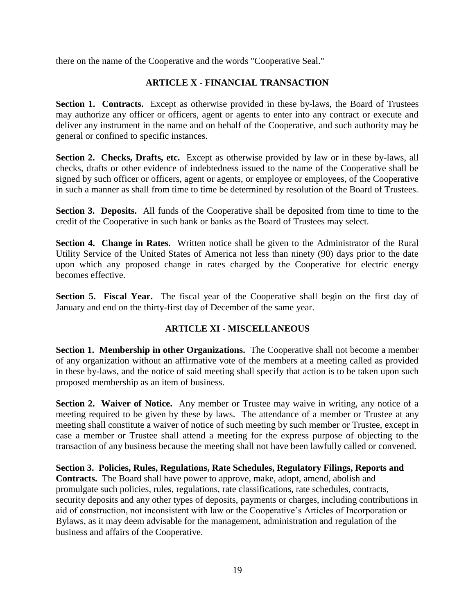there on the name of the Cooperative and the words "Cooperative Seal."

# **ARTICLE X - FINANCIAL TRANSACTION**

Section 1. Contracts. Except as otherwise provided in these by-laws, the Board of Trustees may authorize any officer or officers, agent or agents to enter into any contract or execute and deliver any instrument in the name and on behalf of the Cooperative, and such authority may be general or confined to specific instances.

**Section 2. Checks, Drafts, etc.** Except as otherwise provided by law or in these by-laws, all checks, drafts or other evidence of indebtedness issued to the name of the Cooperative shall be signed by such officer or officers, agent or agents, or employee or employees, of the Cooperative in such a manner as shall from time to time be determined by resolution of the Board of Trustees.

**Section 3. Deposits.** All funds of the Cooperative shall be deposited from time to time to the credit of the Cooperative in such bank or banks as the Board of Trustees may select.

**Section 4. Change in Rates.** Written notice shall be given to the Administrator of the Rural Utility Service of the United States of America not less than ninety (90) days prior to the date upon which any proposed change in rates charged by the Cooperative for electric energy becomes effective.

**Section 5. Fiscal Year.** The fiscal year of the Cooperative shall begin on the first day of January and end on the thirty-first day of December of the same year.

# **ARTICLE XI - MISCELLANEOUS**

**Section 1. Membership in other Organizations.** The Cooperative shall not become a member of any organization without an affirmative vote of the members at a meeting called as provided in these by-laws, and the notice of said meeting shall specify that action is to be taken upon such proposed membership as an item of business.

**Section 2. Waiver of Notice.** Any member or Trustee may waive in writing, any notice of a meeting required to be given by these by laws. The attendance of a member or Trustee at any meeting shall constitute a waiver of notice of such meeting by such member or Trustee, except in case a member or Trustee shall attend a meeting for the express purpose of objecting to the transaction of any business because the meeting shall not have been lawfully called or convened.

**Section 3. Policies, Rules, Regulations, Rate Schedules, Regulatory Filings, Reports and Contracts.** The Board shall have power to approve, make, adopt, amend, abolish and promulgate such policies, rules, regulations, rate classifications, rate schedules, contracts, security deposits and any other types of deposits, payments or charges, including contributions in aid of construction, not inconsistent with law or the Cooperative's Articles of Incorporation or Bylaws, as it may deem advisable for the management, administration and regulation of the business and affairs of the Cooperative.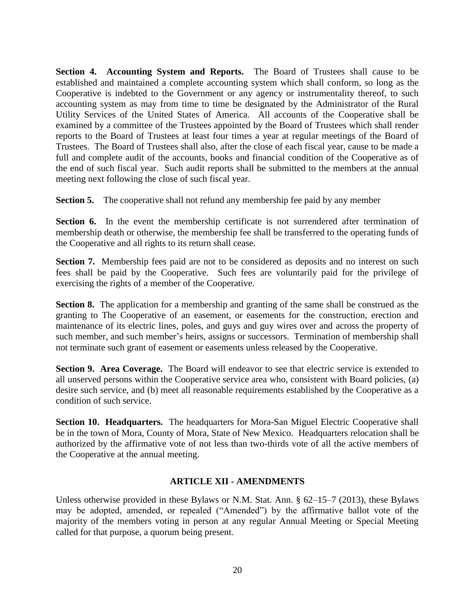**Section 4. Accounting System and Reports.** The Board of Trustees shall cause to be established and maintained a complete accounting system which shall conform, so long as the Cooperative is indebted to the Government or any agency or instrumentality thereof, to such accounting system as may from time to time be designated by the Administrator of the Rural Utility Services of the United States of America. All accounts of the Cooperative shall be examined by a committee of the Trustees appointed by the Board of Trustees which shall render reports to the Board of Trustees at least four times a year at regular meetings of the Board of Trustees. The Board of Trustees shall also, after the close of each fiscal year, cause to be made a full and complete audit of the accounts, books and financial condition of the Cooperative as of the end of such fiscal year. Such audit reports shall be submitted to the members at the annual meeting next following the close of such fiscal year.

**Section 5.** The cooperative shall not refund any membership fee paid by any member

Section 6. In the event the membership certificate is not surrendered after termination of membership death or otherwise, the membership fee shall be transferred to the operating funds of the Cooperative and all rights to its return shall cease.

**Section 7.** Membership fees paid are not to be considered as deposits and no interest on such fees shall be paid by the Cooperative. Such fees are voluntarily paid for the privilege of exercising the rights of a member of the Cooperative.

**Section 8.** The application for a membership and granting of the same shall be construed as the granting to The Cooperative of an easement, or easements for the construction, erection and maintenance of its electric lines, poles, and guys and guy wires over and across the property of such member, and such member's heirs, assigns or successors. Termination of membership shall not terminate such grant of easement or easements unless released by the Cooperative.

**Section 9. Area Coverage.** The Board will endeavor to see that electric service is extended to all unserved persons within the Cooperative service area who, consistent with Board policies, (a) desire such service, and (b) meet all reasonable requirements established by the Cooperative as a condition of such service.

**Section 10. Headquarters.** The headquarters for Mora-San Miguel Electric Cooperative shall be in the town of Mora, County of Mora, State of New Mexico. Headquarters relocation shall be authorized by the affirmative vote of not less than two-thirds vote of all the active members of the Cooperative at the annual meeting.

### **ARTICLE XII - AMENDMENTS**

Unless otherwise provided in these Bylaws or N.M. Stat. Ann. § 62–15–7 (2013), these Bylaws may be adopted, amended, or repealed ("Amended") by the affirmative ballot vote of the majority of the members voting in person at any regular Annual Meeting or Special Meeting called for that purpose, a quorum being present.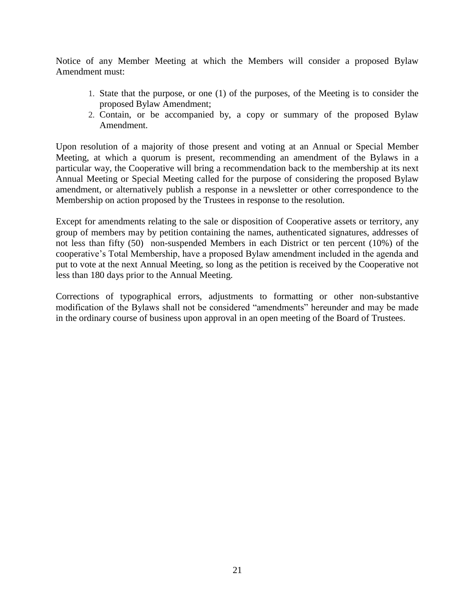Notice of any Member Meeting at which the Members will consider a proposed Bylaw Amendment must:

- 1. State that the purpose, or one (1) of the purposes, of the Meeting is to consider the proposed Bylaw Amendment;
- 2. Contain, or be accompanied by, a copy or summary of the proposed Bylaw Amendment.

Upon resolution of a majority of those present and voting at an Annual or Special Member Meeting, at which a quorum is present, recommending an amendment of the Bylaws in a particular way, the Cooperative will bring a recommendation back to the membership at its next Annual Meeting or Special Meeting called for the purpose of considering the proposed Bylaw amendment, or alternatively publish a response in a newsletter or other correspondence to the Membership on action proposed by the Trustees in response to the resolution.

Except for amendments relating to the sale or disposition of Cooperative assets or territory, any group of members may by petition containing the names, authenticated signatures, addresses of not less than fifty (50) non-suspended Members in each District or ten percent (10%) of the cooperative's Total Membership, have a proposed Bylaw amendment included in the agenda and put to vote at the next Annual Meeting, so long as the petition is received by the Cooperative not less than 180 days prior to the Annual Meeting.

Corrections of typographical errors, adjustments to formatting or other non-substantive modification of the Bylaws shall not be considered "amendments" hereunder and may be made in the ordinary course of business upon approval in an open meeting of the Board of Trustees.